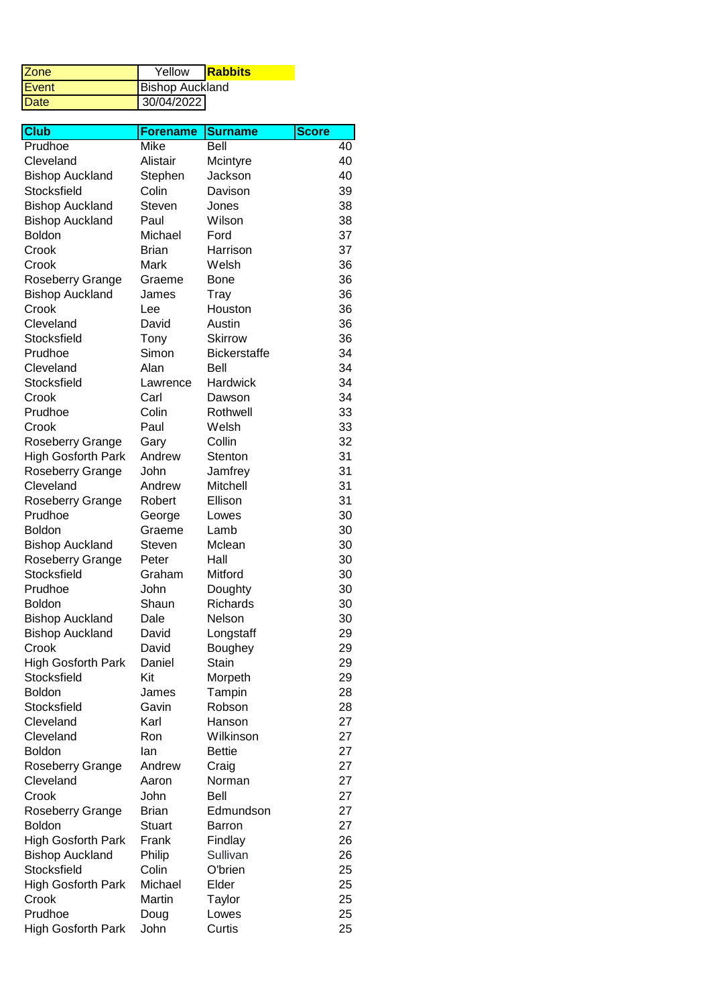| <b>IZone</b> | Yellow                 | <b>Rabbits</b> |
|--------------|------------------------|----------------|
| <b>Event</b> | <b>Bishop Auckland</b> |                |
| <b>IDate</b> | 30/04/2022             |                |

| $\overline{\text{Cl}}$ ub | <b>Forename</b> | <b>Surname</b>      | <b>Score</b> |
|---------------------------|-----------------|---------------------|--------------|
| Prudhoe                   | Mike            | Bell                | 40           |
| Cleveland                 | Alistair        | Mcintyre            | 40           |
| <b>Bishop Auckland</b>    | Stephen         | Jackson             | 40           |
| Stocksfield               | Colin           | Davison             | 39           |
| <b>Bishop Auckland</b>    | Steven          | Jones               | 38           |
| <b>Bishop Auckland</b>    | Paul            | Wilson              | 38           |
| <b>Boldon</b>             | Michael         | Ford                | 37           |
| Crook                     | <b>Brian</b>    | Harrison            | 37           |
| Crook                     | Mark            | Welsh               | 36           |
| Roseberry Grange          | Graeme          | <b>Bone</b>         | 36           |
| <b>Bishop Auckland</b>    | James           | Tray                | 36           |
| Crook                     | Lee             | Houston             | 36           |
| Cleveland                 | David           | Austin              | 36           |
| Stocksfield               | Tony            | <b>Skirrow</b>      | 36           |
| Prudhoe                   | Simon           | <b>Bickerstaffe</b> | 34           |
| Cleveland                 | Alan            | Bell                | 34           |
| Stocksfield               | Lawrence        | Hardwick            | 34           |
| Crook                     | Carl            | Dawson              | 34           |
| Prudhoe                   | Colin           | Rothwell            | 33           |
| Crook                     | Paul            | Welsh               | 33           |
| Roseberry Grange          | Gary            | Collin              | 32           |
| <b>High Gosforth Park</b> | Andrew          | Stenton             | 31           |
| Roseberry Grange          | John            | Jamfrey             | 31           |
| Cleveland                 | Andrew          | Mitchell            | 31           |
| Roseberry Grange          | Robert          | Ellison             | 31           |
| Prudhoe                   | George          | Lowes               | 30           |
| <b>Boldon</b>             | Graeme          | Lamb                | 30           |
| <b>Bishop Auckland</b>    | Steven          | Mclean              | 30           |
| Roseberry Grange          | Peter           | Hall                | 30           |
| Stocksfield               | Graham          | Mitford             | 30           |
| Prudhoe                   | John            | Doughty             | 30           |
| <b>Boldon</b>             | Shaun           | <b>Richards</b>     | 30           |
| <b>Bishop Auckland</b>    | Dale            | Nelson              | 30           |
| <b>Bishop Auckland</b>    | David           | Longstaff           | 29           |
| Crook                     | David           | Boughey             | 29           |
| <b>High Gosforth Park</b> | Daniel          | Stain               | 29           |
| Stocksfield               | Kit             | Morpeth             | 29           |
| Boldon                    | James           | Tampin              | 28           |
| Stocksfield               | Gavin           | Robson              | 28           |
| Cleveland                 | Karl            | Hanson              | 27           |
| Cleveland                 | Ron             | Wilkinson           | 27           |
| <b>Boldon</b>             | lan             | <b>Bettie</b>       | 27           |
| Roseberry Grange          | Andrew          | Craig               | 27           |
| Cleveland                 | Aaron           | Norman              | 27           |
| Crook                     | John            | <b>Bell</b>         | 27           |
| Roseberry Grange          | <b>Brian</b>    | Edmundson           | 27           |
| <b>Boldon</b>             | <b>Stuart</b>   | Barron              | 27           |
| <b>High Gosforth Park</b> | Frank           | Findlay             | 26           |
| <b>Bishop Auckland</b>    | Philip          | Sullivan            | 26           |
| Stocksfield               | Colin           | O'brien             | 25           |
| High Gosforth Park        | Michael         | Elder               | 25           |
| Crook                     | Martin          | Taylor              | 25           |
| Prudhoe                   | Doug            | Lowes               | 25           |
| High Gosforth Park        | John            | Curtis              | 25           |